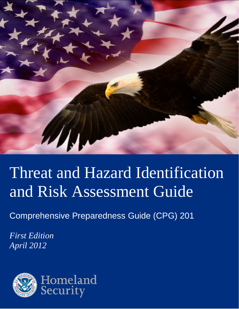

# Threat and Hazard Identification and Risk Assessment Guide

Comprehensive Preparedness Guide (CPG) 201

*First Edition April 2012*

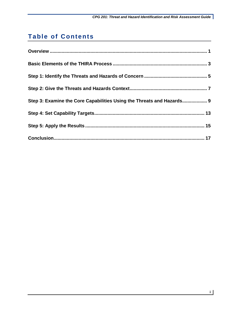## **Table of Contents**

| Step 3: Examine the Core Capabilities Using the Threats and Hazards 9 |  |
|-----------------------------------------------------------------------|--|
|                                                                       |  |
|                                                                       |  |
|                                                                       |  |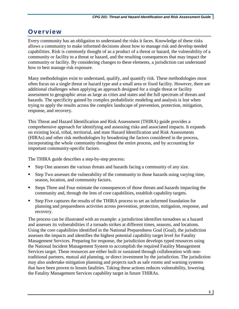### <span id="page-4-0"></span>**Overview**

Every community has an obligation to understand the risks it faces. Knowledge of these risks allows a community to make informed decisions about how to manage risk and develop needed capabilities. Risk is commonly thought of as a product of a threat or hazard, the vulnerability of a community or facility to a threat or hazard, and the resulting consequences that may impact the community or facility. By considering changes to these elements, a jurisdiction can understand how to best manage risk exposure.

Many methodologies exist to understand, qualify, and quantify risk. These methodologies most often focus on a single threat or hazard type and a small area or fixed facility. However, there are additional challenges when applying an approach designed for a single threat or facility assessment to geographic areas as large as cities and states and the full spectrum of threats and hazards. The specificity gained by complex probabilistic modeling and analysis is lost when trying to apply the results across the complex landscape of prevention, protection, mitigation, response, and recovery.

This Threat and Hazard Identification and Risk Assessment (THIRA) guide provides a comprehensive approach for identifying and assessing risks and associated impacts. It expands on existing local, tribal, territorial, and state Hazard Identification and Risk Assessments (HIRAs) and other risk methodologies by broadening the factors considered in the process, incorporating the whole community throughout the entire process, and by accounting for important community-specific factors.

The THIRA guide describes a step-by-step process:

- Step One assesses the various threats and hazards facing a community of any size.
- Step Two assesses the vulnerability of the community to those hazards using varying time, season, location, and community factors.
- Steps Three and Four estimate the consequences of those threats and hazards impacting the community and, through the lens of core capabilities, establish capability targets.
- Step Five captures the results of the THIRA process to set an informed foundation for planning and preparedness activities across prevention, protection, mitigation, response, and recovery.

The process can be illustrated with an example: a jurisdiction identifies tornadoes as a hazard and assesses its vulnerabilities if a tornado strikes at different times, seasons, and locations. Using the core capabilities identified in the National Preparedness Goal (Goal), the jurisdiction assesses the impacts and identifies the highest potential capability target level for Fatality Management Services. Preparing for response, the jurisdiction develops typed resources using the National Incident Management System to accomplish the required Fatality Management Services target. These resources are either built or sustained through collaboration with nontraditional partners, mutual aid planning, or direct investment by the jurisdiction. The jurisdiction may also undertake mitigation planning and projects such as safe rooms and warning systems that have been proven to lessen fatalities. Taking these actions reduces vulnerability, lowering the Fatality Management Services capability target in future THIRAs.

**1**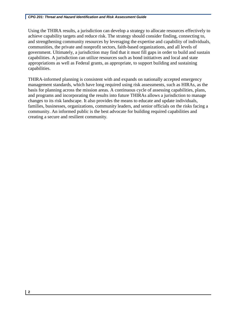Using the THIRA results, a jurisdiction can develop a strategy to allocate resources effectively to achieve capability targets and reduce risk. The strategy should consider finding, connecting to, and strengthening community resources by leveraging the expertise and capability of individuals, communities, the private and nonprofit sectors, faith-based organizations, and all levels of government. Ultimately, a jurisdiction may find that it must fill gaps in order to build and sustain capabilities. A jurisdiction can utilize resources such as bond initiatives and local and state appropriations as well as Federal grants, as appropriate, to support building and sustaining capabilities.

THIRA-informed planning is consistent with and expands on nationally accepted emergency management standards, which have long required using risk assessments, such as HIRAs, as the basis for planning across the mission areas. A continuous cycle of assessing capabilities, plans, and programs and incorporating the results into future THIRAs allows a jurisdiction to manage changes to its risk landscape. It also provides the means to educate and update individuals, families, businesses, organizations, community leaders, and senior officials on the risks facing a community. An informed public is the best advocate for building required capabilities and creating a secure and resilient community.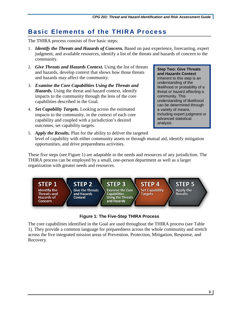## <span id="page-6-0"></span>**Basic Elements of the THIRA Process**

The THIRA process consists of five basic steps:

- 1. *Identify the Threats and Hazards of Concern.* Based on past experience, forecasting, expert judgment, and available resources, identify a list of the threats and hazards of concern to the community.
- 2. *Give Threats and Hazards Context.* Using the list of threats and hazards, develop context that shows how those threats and hazards may affect the community.
- 3. *Examine the Core Capabilities Using the Threats and Hazards.* Using the threat and hazard context, identify impacts to the community through the lens of the core capabilities described in the Goal.
- 4. *Set Capability Targets.* Looking across the estimated impacts to the community, in the context of each core capability and coupled with a jurisdiction's desired outcomes, set capability targets.

**Step Two: Give Threats and Hazards Context** Inherent to this step is an understanding of the likelihood or probability of a threat or hazard affecting a community. This understanding of likelihood can be determined through a variety of means, including expert judgment or advanced statistical analysis.

5. *Apply the Results.* Plan for the ability to deliver the targeted level of capability with either community assets or through mutual aid, identify mitigation opportunities, and drive preparedness activities.

These five steps (see [Figure 1\)](#page-6-1) are adaptable to the needs and resources of any jurisdiction. The THIRA process can be employed by a small, one-person department as well as a larger organization with greater needs and resources.



**Figure 1: The Five-Step THIRA Process**

<span id="page-6-1"></span>The core capabilities identified in the Goal are used throughout the THIRA process (see [Table](#page-7-0)  [1\)](#page-7-0). They provide a common language for preparedness across the whole community and stretch across the five integrated mission areas of Prevention, Protection, Mitigation, Response, and Recovery.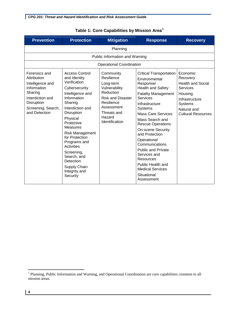<span id="page-7-0"></span>

| <b>Prevention</b>                                                                                                                                          | <b>Protection</b>                                                                                                                                                                                                                                                                                                                                                    | <b>Mitigation</b>                                                                                                                                                     | <b>Response</b>                                                                                                                                                                                                                                                                                                                                                                                                                                                                 | <b>Recovery</b>                                                                                                                                         |  |
|------------------------------------------------------------------------------------------------------------------------------------------------------------|----------------------------------------------------------------------------------------------------------------------------------------------------------------------------------------------------------------------------------------------------------------------------------------------------------------------------------------------------------------------|-----------------------------------------------------------------------------------------------------------------------------------------------------------------------|---------------------------------------------------------------------------------------------------------------------------------------------------------------------------------------------------------------------------------------------------------------------------------------------------------------------------------------------------------------------------------------------------------------------------------------------------------------------------------|---------------------------------------------------------------------------------------------------------------------------------------------------------|--|
|                                                                                                                                                            | Planning                                                                                                                                                                                                                                                                                                                                                             |                                                                                                                                                                       |                                                                                                                                                                                                                                                                                                                                                                                                                                                                                 |                                                                                                                                                         |  |
|                                                                                                                                                            |                                                                                                                                                                                                                                                                                                                                                                      | Public Information and Warning                                                                                                                                        |                                                                                                                                                                                                                                                                                                                                                                                                                                                                                 |                                                                                                                                                         |  |
|                                                                                                                                                            |                                                                                                                                                                                                                                                                                                                                                                      | <b>Operational Coordination</b>                                                                                                                                       |                                                                                                                                                                                                                                                                                                                                                                                                                                                                                 |                                                                                                                                                         |  |
| Forensics and<br>Attribution<br>Intelligence and<br>Information<br>Sharing<br>Interdiction and<br><b>Disruption</b><br>Screening, Search,<br>and Detection | <b>Access Control</b><br>and Identity<br>Verification<br>Cybersecurity<br>Intelligence and<br>Information<br>Sharing<br>Interdiction and<br><b>Disruption</b><br>Physical<br>Protective<br><b>Measures</b><br>Risk Management<br>for Protection<br>Programs and<br>Activities<br>Screening,<br>Search, and<br>Detection<br>Supply Chain<br>Integrity and<br>Security | Community<br>Resilience<br>Long-term<br>Vulnerability<br>Reduction<br><b>Risk and Disaster</b><br>Resilience<br>Assessment<br>Threats and<br>Hazard<br>Identification | <b>Critical Transportation</b><br>Environmental<br>Response/<br><b>Health and Safety</b><br><b>Fatality Management</b><br><b>Services</b><br>Infrastructure<br><b>Systems</b><br><b>Mass Care Services</b><br>Mass Search and<br><b>Rescue Operations</b><br><b>On-scene Security</b><br>and Protection<br>Operational<br>Communications<br><b>Public and Private</b><br>Services and<br>Resources<br>Public Health and<br><b>Medical Services</b><br>Situational<br>Assessment | Economic<br>Recovery<br><b>Health and Social</b><br>Services<br>Housing<br>Infrastructure<br><b>Systems</b><br>Natural and<br><b>Cultural Resources</b> |  |

#### **Table 1: Core Capabilities by Mission Area[1](#page-7-1)**

 $\overline{a}$ 

<span id="page-7-1"></span><sup>&</sup>lt;sup>1</sup> Planning, Public Information and Warning, and Operational Coordination are core capabilities common to all mission areas.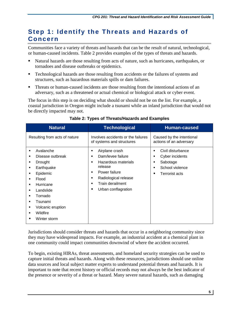## <span id="page-8-0"></span>**Step 1: Identify the Threats and Hazards of Concern**

Communities face a variety of threats and hazards that can be the result of natural, technological, or human-caused incidents. [Table 2](#page-8-1) provides examples of the types of threats and hazards.

- Natural hazards are those resulting from acts of nature, such as hurricanes, earthquakes, or tornadoes and disease outbreaks or epidemics.
- Technological hazards are those resulting from accidents or the failures of systems and structures, such as hazardous materials spills or dam failures.
- Threats or human-caused incidents are those resulting from the intentional actions of an adversary, such as a threatened or actual chemical or biological attack or cyber event.

The focus in this step is on deciding what should or should not be on the list. For example, a coastal jurisdiction in Oregon might include a tsunami while an inland jurisdiction that would not be directly impacted may not.

<span id="page-8-1"></span>

| <b>Natural</b>                                                                                                                                                                                                                                                          | <b>Technological</b>                                                                                                                                                                                                                | <b>Human-caused</b>                                                                                                   |
|-------------------------------------------------------------------------------------------------------------------------------------------------------------------------------------------------------------------------------------------------------------------------|-------------------------------------------------------------------------------------------------------------------------------------------------------------------------------------------------------------------------------------|-----------------------------------------------------------------------------------------------------------------------|
| Resulting from acts of nature                                                                                                                                                                                                                                           | Involves accidents or the failures<br>of systems and structures                                                                                                                                                                     | Caused by the intentional<br>actions of an adversary                                                                  |
| Avalanche<br>$\blacksquare$<br>Disease outbreak<br>٠<br>Drought<br>٠<br>Earthquake<br>٠<br>Epidemic<br>٠<br>Flood<br>$\blacksquare$<br>Hurricane<br>٠<br>Landslide<br>٠<br>Tornado<br>٠<br>Tsunami<br>٠<br>Volcanic eruption<br>٠<br>Wildfire<br>٠<br>Winter storm<br>■ | Airplane crash<br>٠<br>Dam/levee failure<br>$\blacksquare$<br>Hazardous materials<br>$\blacksquare$<br>release<br>Power failure<br>٠<br>Radiological release<br>٠<br>Train derailment<br>$\blacksquare$<br>Urban conflagration<br>п | Civil disturbance<br>٠<br>Cyber incidents<br>٠<br>Sabotage<br>٠<br>School violence<br>п<br><b>Terrorist acts</b><br>п |

#### **Table 2: Types of Threats/Hazards and Examples**

Jurisdictions should consider threats and hazards that occur in a neighboring community since they may have widespread impacts. For example, an industrial accident at a chemical plant in one community could impact communities downwind of where the accident occurred.

To begin, existing HIRAs, threat assessments, and homeland security strategies can be used to capture initial threats and hazards. Along with these resources, jurisdictions should use online data sources and local subject matter experts to understand potential threats and hazards. It is important to note that recent history or official records may not always be the best indicator of the presence or severity of a threat or hazard. Many severe natural hazards, such as damaging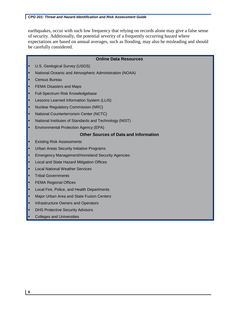earthquakes, occur with such low frequency that relying on records alone may give a false sense of security. Additionally, the potential severity of a frequently occurring hazard where expectations are based on annual averages, such as flooding, may also be misleading and should be carefully considered.

|   | <b>Online Data Resources</b>                           |  |  |  |
|---|--------------------------------------------------------|--|--|--|
| ٠ | U.S. Geological Survey (USGS)                          |  |  |  |
| п | National Oceanic and Atmospheric Administration (NOAA) |  |  |  |
| п | <b>Census Bureau</b>                                   |  |  |  |
| п | <b>FEMA Disasters and Maps</b>                         |  |  |  |
| н | Full-Spectrum Risk Knowledgebase                       |  |  |  |
| п | Lessons Learned Information System (LLIS)              |  |  |  |
| п | <b>Nuclear Regulatory Commission (NRC)</b>             |  |  |  |
| ٠ | National Counterterrorism Center (NCTC)                |  |  |  |
| ▪ | National Institutes of Standards and Technology (NIST) |  |  |  |
| п | <b>Environmental Protection Agency (EPA)</b>           |  |  |  |
|   | <b>Other Sources of Data and Information</b>           |  |  |  |
| н | <b>Existing Risk Assessments</b>                       |  |  |  |
| п | <b>Urban Areas Security Initiative Programs</b>        |  |  |  |
| п | <b>Emergency Management/Homeland Security Agencies</b> |  |  |  |
| п | Local and State Hazard Mitigation Offices              |  |  |  |
| ▪ | <b>Local National Weather Services</b>                 |  |  |  |
| п | <b>Tribal Governments</b>                              |  |  |  |
| п | <b>FEMA Regional Offices</b>                           |  |  |  |
| п | Local Fire, Police, and Health Departments             |  |  |  |
| н | Major Urban Area and State Fusion Centers              |  |  |  |
| п | Infrastructure Owners and Operators                    |  |  |  |
| п | <b>DHS Protective Security Advisors</b>                |  |  |  |
| ■ | <b>Colleges and Universities</b>                       |  |  |  |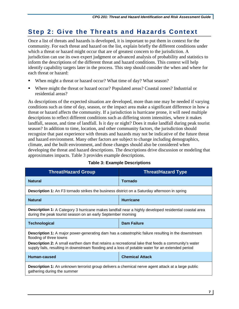## <span id="page-10-0"></span>**Step 2: Give the Threats and Hazards Context**

Once a list of threats and hazards is developed, it is important to put them in context for the community. For each threat and hazard on the list, explain briefly the different conditions under which a threat or hazard might occur that are of greatest concern to the jurisdiction. A jurisdiction can use its own expert judgment or advanced analysis of probability and statistics to inform the descriptions of the different threat and hazard conditions. This context will help identify capability targets later in the process. This step should consider the when and where for each threat or hazard:

- When might a threat or hazard occur? What time of day? What season?
- Where might the threat or hazard occur? Populated areas? Coastal zones? Industrial or residential areas?

As descriptions of the expected situation are developed, more than one may be needed if varying conditions such as time of day, season, or the impact area make a significant difference in how a threat or hazard affects the community. If a jurisdiction is hurricane prone, it will need multiple descriptions to reflect different conditions such as differing storm intensities, where it makes landfall, season, and time of landfall. Is it day or night? Does it make landfall during peak tourist season? In addition to time, location, and other community factors, the jurisdiction should recognize that past experience with threats and hazards may not be indicative of the future threat and hazard environment. Many other factors are subject to change including demographics, climate, and the built environment, and those changes should also be considered when developing the threat and hazard descriptions. The descriptions drive discussion or modeling that approximates impacts. [Table 3](#page-10-1) provides example descriptions.

<span id="page-10-1"></span>

| <b>Threat/Hazard Group</b>                                                                                                                                                                                                                                                                                                                             | <b>Threat/Hazard Type</b> |  |  |
|--------------------------------------------------------------------------------------------------------------------------------------------------------------------------------------------------------------------------------------------------------------------------------------------------------------------------------------------------------|---------------------------|--|--|
| <b>Natural</b>                                                                                                                                                                                                                                                                                                                                         | <b>Tornado</b>            |  |  |
| <b>Description 1:</b> An F3 tornado strikes the business district on a Saturday afternoon in spring                                                                                                                                                                                                                                                    |                           |  |  |
| <b>Natural</b>                                                                                                                                                                                                                                                                                                                                         | <b>Hurricane</b>          |  |  |
| <b>Description 1:</b> A Category 3 hurricane makes landfall near a highly developed residential coastal area<br>during the peak tourist season on an early September morning                                                                                                                                                                           |                           |  |  |
| <b>Technological</b>                                                                                                                                                                                                                                                                                                                                   | <b>Dam Failure</b>        |  |  |
| <b>Description 1:</b> A major power-generating dam has a catastrophic failure resulting in the downstream<br>flooding of three towns<br><b>Description 2:</b> A small earthen dam that retains a recreational lake that feeds a community's water<br>supply fails, resulting in downstream flooding and a loss of potable water for an extended period |                           |  |  |
| Human-caused                                                                                                                                                                                                                                                                                                                                           | <b>Chemical Attack</b>    |  |  |
| <b>Description 1:</b> An unknown terrorist group delivers a chemical nerve agent attack at a large public<br>gathering during the summer                                                                                                                                                                                                               |                           |  |  |

#### **Table 3: Example Descriptions**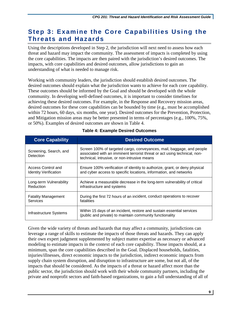## <span id="page-12-0"></span>**Step 3: Examine the Core Capabilities Using the Threats and Hazards**

Using the descriptions developed in Step 2, the jurisdiction will next need to assess how each threat and hazard may impact the community. The assessment of impacts is completed by using the core capabilities. The impacts are then paired with the jurisdiction's desired outcomes. The impacts, with core capabilities and desired outcomes, allow jurisdictions to gain an understanding of what is needed to manage risk.

Working with community leaders, the jurisdiction should establish desired outcomes. The desired outcomes should explain what the jurisdiction wants to achieve for each core capability. These outcomes should be informed by the Goal and should be developed with the whole community. In developing well-defined outcomes, it is important to consider timelines for achieving these desired outcomes. For example, in the Response and Recovery mission areas, desired outcomes for these core capabilities can be bounded by time (e.g., must be accomplished within 72 hours, 60 days, six months, one year). Desired outcomes for the Prevention, Protection, and Mitigation mission areas may be better presented in terms of percentages (e.g., 100%, 75%, or 50%). Examples of desired outcomes are shown in [Table 4.](#page-12-1)

<span id="page-12-1"></span>

| <b>Core Capability</b>              | <b>Desired Outcome</b>                                                                                                                                                                             |
|-------------------------------------|----------------------------------------------------------------------------------------------------------------------------------------------------------------------------------------------------|
| Screening, Search, and<br>Detection | Screen 100% of targeted cargo, conveyances, mail, baggage, and people<br>associated with an imminent terrorist threat or act using technical, non-<br>technical, intrusive, or non-intrusive means |
| Access Control and                  | Ensure 100% verification of identity to authorize, grant, or deny physical                                                                                                                         |
| <b>Identity Verification</b>        | and cyber access to specific locations, information, and networks                                                                                                                                  |
| Long-term Vulnerability             | Achieve a measurable decrease in the long-term vulnerability of critical                                                                                                                           |
| Reduction                           | infrastructure and systems                                                                                                                                                                         |
| <b>Fatality Management</b>          | During the first 72 hours of an incident, conduct operations to recover                                                                                                                            |
| <b>Services</b>                     | fatalities                                                                                                                                                                                         |
| Infrastructure Systems              | Within 15 days of an incident, restore and sustain essential services<br>(public and private) to maintain community functionality                                                                  |

#### **Table 4: Example Desired Outcomes**

Given the wide variety of threats and hazards that may affect a community, jurisdictions can leverage a range of skills to estimate the impacts of those threats and hazards. They can apply their own expert judgment supplemented by subject matter expertise as necessary or advanced modeling to estimate impacts in the context of each core capability. Those impacts should, at a minimum, span the core capabilities described in the Goal. Displaced households, fatalities, injuries/illnesses, direct economic impacts to the jurisdiction, indirect economic impacts from supply chain system disruption, and disruption to infrastructure are some, but not all, of the impacts that should be considered. As the impacts of a threat or hazard affect more than the public sector, the jurisdiction should work with their whole community partners, including the private and nonprofit sectors and faith-based organizations, to gain a full understanding of all of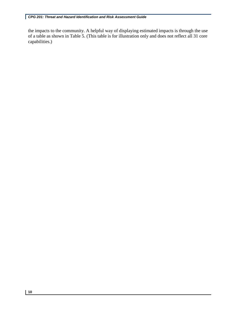the impacts to the community. A helpful way of displaying estimated impacts is through the use of a table as shown in [Table 5.](#page-14-0) (This table is for illustration only and does not reflect all 31 core capabilities.)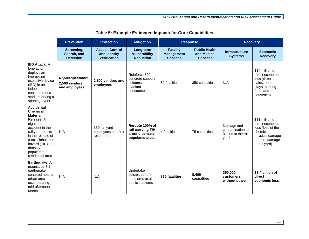<span id="page-14-0"></span>

|                                                                                                                                                                                                                                               | <b>Prevention</b>                                   | <b>Protection</b>                                            | <b>Mitigation</b>                                                         | <b>Response</b>                                         |                                                        | <b>Recovery</b>                                               |                                                                                                                              |
|-----------------------------------------------------------------------------------------------------------------------------------------------------------------------------------------------------------------------------------------------|-----------------------------------------------------|--------------------------------------------------------------|---------------------------------------------------------------------------|---------------------------------------------------------|--------------------------------------------------------|---------------------------------------------------------------|------------------------------------------------------------------------------------------------------------------------------|
|                                                                                                                                                                                                                                               | Screening,<br>Search, and<br><b>Detection</b>       | <b>Access Control</b><br>and Identity<br><b>Verification</b> | Long-term<br><b>Vulnerability</b><br><b>Reduction</b>                     | <b>Fatality</b><br><b>Management</b><br><b>Services</b> | <b>Public Health</b><br>and Medical<br><b>Services</b> | <b>Infrastructure</b><br><b>Systems</b>                       | <b>Economic</b><br><b>Recovery</b>                                                                                           |
| <b>IED Attack: A</b><br>lone actor<br>deploys an<br>improvised<br>explosive device<br>(IED) in an<br>indoor<br>concourse of a<br>stadium during a<br>sporting event                                                                           | 67,500 spectators<br>2,500 vendors<br>and employees | 2,500 vendors and<br>employees                               | Reinforce 500<br>concrete support<br>columns in<br>stadium<br>concourse   | 52 fatalities                                           | 350 casualties                                         | N/A                                                           | \$14 million of<br>direct economic<br>loss (ticket<br>sales, hotel<br>stays, parking,<br>food, and<br>souvenirs)             |
| <b>Accidental</b><br><b>Chemical</b><br><b>Material</b><br><b>Release: A</b><br>nighttime<br>accident in the<br>rail yard results<br>in the release of<br>a toxic inhalation<br>hazard (TIH) in a<br>densely<br>populated<br>residential area | N/A                                                 | 350 rail yard<br>employees and first<br>responders           | Reroute 100% of<br>rail carrying TIH<br>around densely<br>populated areas | 4 fatalities                                            | 75 casualties                                          | Damage and<br>contamination to<br>3 lines at the rail<br>yard | \$11 million of<br>direct economic<br>loss (loss of the<br>chemical,<br>physical damage<br>to train, damage<br>to rail yard) |
| Earthquake: A<br>magnitude 7.2<br>earthquake<br>centered near an<br>urban area<br>occurs during<br>mid-afternoon in<br>March                                                                                                                  | N/A                                                 | N/A                                                          | Undertake<br>seismic retrofit<br>measures at all<br>public stadiums       | 375 fatalities                                          | 8,400<br>casualties                                    | 350,000<br>customers<br>without power                         | \$8.4 billion of<br>direct<br>economic loss                                                                                  |

**Table 5: Example Estimated Impacts for Core Capabilities**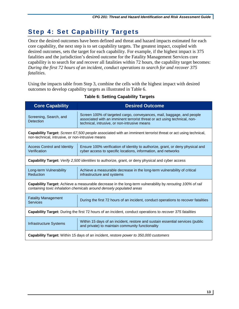## <span id="page-16-0"></span>**Step 4: Set Capability Targets**

Once the desired outcomes have been defined and threat and hazard impacts estimated for each core capability, the next step is to set capability targets. The greatest impact, coupled with desired outcomes, sets the target for each capability. For example, if the highest impact is 375 fatalities and the jurisdiction's desired outcome for the Fatality Management Services core capability is to search for and recover all fatalities within 72 hours, the capability target becomes: *During the first 72 hours of an incident, conduct operations to search for and recover 375 fatalities*.

<span id="page-16-1"></span>Using the impacts table from Step 3, combine the cells with the highest impact with desired outcomes to develop capability targets as illustrated in [Table 6.](#page-16-1)

| <b>Core Capability</b>                                                                                                                                                            | <b>Desired Outcome</b>                                                                                                                                                                             |  |  |
|-----------------------------------------------------------------------------------------------------------------------------------------------------------------------------------|----------------------------------------------------------------------------------------------------------------------------------------------------------------------------------------------------|--|--|
| Screening, Search, and<br><b>Detection</b>                                                                                                                                        | Screen 100% of targeted cargo, conveyances, mail, baggage, and people<br>associated with an imminent terrorist threat or act using technical, non-<br>technical, intrusive, or non-intrusive means |  |  |
| Capability Target: Screen 67,500 people associated with an imminent terrorist threat or act using technical,<br>non-technical, intrusive, or non-intrusive means                  |                                                                                                                                                                                                    |  |  |
| <b>Access Control and Identity</b><br>Verification                                                                                                                                | Ensure 100% verification of identity to authorize, grant, or deny physical and<br>cyber access to specific locations, information, and networks                                                    |  |  |
| Capability Target: Verify 2,500 identities to authorize, grant, or deny physical and cyber access                                                                                 |                                                                                                                                                                                                    |  |  |
| Long-term Vulnerability<br>Reduction                                                                                                                                              | Achieve a measurable decrease in the long-term vulnerability of critical<br>infrastructure and systems                                                                                             |  |  |
| Capability Target: Achieve a measurable decrease in the long-term vulnerability by rerouting 100% of rail<br>containing toxic inhalation chemicals around densely populated areas |                                                                                                                                                                                                    |  |  |
| <b>Fatality Management</b><br><b>Services</b>                                                                                                                                     | During the first 72 hours of an incident, conduct operations to recover fatalities                                                                                                                 |  |  |
| <b>Capability Target:</b> During the first 72 hours of an incident, conduct operations to recover 375 fatalities                                                                  |                                                                                                                                                                                                    |  |  |
| <b>Infrastructure Systems</b>                                                                                                                                                     | Within 15 days of an incident, restore and sustain essential services (public<br>and private) to maintain community functionality                                                                  |  |  |
| <b>Capability Target:</b> Within 15 days of an incident, restore power to 350,000 customers                                                                                       |                                                                                                                                                                                                    |  |  |

#### **Table 6: Setting Capability Targets**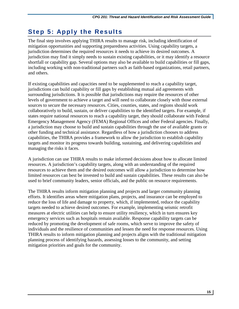## <span id="page-18-0"></span>**Step 5: Apply the Results**

The final step involves applying THIRA results to manage risk, including identification of mitigation opportunities and supporting preparedness activities. Using capability targets, a jurisdiction determines the required resources it needs to achieve its desired outcomes. A jurisdiction may find it simply needs to sustain existing capabilities, or it may identify a resource shortfall or capability gap. Several options may also be available to build capabilities or fill gaps, including working with non-traditional partners such as faith-based organizations, retail partners, and others.

If existing capabilities and capacities need to be supplemented to reach a capability target, jurisdictions can build capability or fill gaps by establishing mutual aid agreements with surrounding jurisdictions. It is possible that jurisdictions may require the resources of other levels of government to achieve a target and will need to collaborate closely with those external sources to secure the necessary resources. Cities, counties, states, and regions should work collaboratively to build, sustain, or deliver capabilities to the identified targets. For example, if states require national resources to reach a capability target, they should collaborate with Federal Emergency Management Agency (FEMA) Regional Offices and other Federal agencies. Finally, a jurisdiction may choose to build and sustain capabilities through the use of available grants or other funding and technical assistance. Regardless of how a jurisdiction chooses to address capabilities, the THIRA provides a framework to allow the jurisdiction to establish capability targets and monitor its progress towards building, sustaining, and delivering capabilities and managing the risks it faces.

A jurisdiction can use THIRA results to make informed decisions about how to allocate limited resources. A jurisdiction's capability targets, along with an understanding of the required resources to achieve them and the desired outcomes will allow a jurisdiction to determine how limited resources can best be invested to build and sustain capabilities. These results can also be used to brief community leaders, senior officials, and the public on resource requirements.

The THIRA results inform mitigation planning and projects and larger community planning efforts. It identifies areas where mitigation plans, projects, and insurance can be employed to reduce the loss of life and damage to property, which, if implemented, reduce the capability targets needed to achieve desired outcomes. For example, implementing seismic retrofit measures at electric utilities can help to ensure utility resiliency, which in turn ensures key emergency services such as hospitals remain available. Response capability targets can be reduced by promoting the development of safe rooms, which serve to improve the safety of individuals and the resilience of communities and lessen the need for response resources. Using THIRA results to inform mitigation planning and projects aligns with the traditional mitigation planning process of identifying hazards, assessing losses to the community, and setting mitigation priorities and goals for the community.